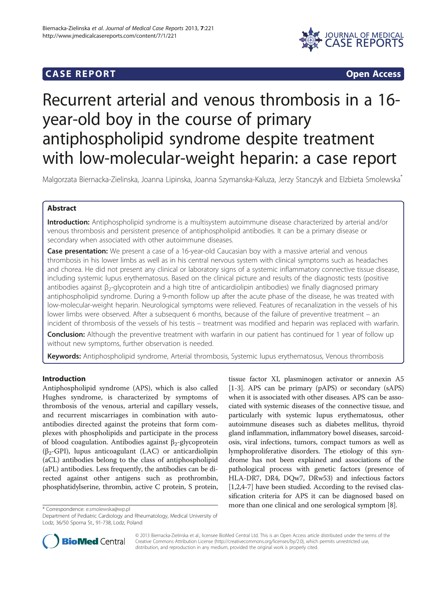## **CASE REPORT CASE REPORT**



# Recurrent arterial and venous thrombosis in a 16 year-old boy in the course of primary antiphospholipid syndrome despite treatment with low-molecular-weight heparin: a case report

Malgorzata Biernacka-Zielinska, Joanna Lipinska, Joanna Szymanska-Kaluza, Jerzy Stanczyk and Elzbieta Smolewska\*

## Abstract

Introduction: Antiphospholipid syndrome is a multisystem autoimmune disease characterized by arterial and/or venous thrombosis and persistent presence of antiphospholipid antibodies. It can be a primary disease or secondary when associated with other autoimmune diseases.

**Case presentation:** We present a case of a 16-year-old Caucasian boy with a massive arterial and venous thrombosis in his lower limbs as well as in his central nervous system with clinical symptoms such as headaches and chorea. He did not present any clinical or laboratory signs of a systemic inflammatory connective tissue disease, including systemic lupus erythematosus. Based on the clinical picture and results of the diagnostic tests (positive antibodies against β2-glycoprotein and a high titre of anticardiolipin antibodies) we finally diagnosed primary antiphospholipid syndrome. During a 9-month follow up after the acute phase of the disease, he was treated with low-molecular-weight heparin. Neurological symptoms were relieved. Features of recanalization in the vessels of his lower limbs were observed. After a subsequent 6 months, because of the failure of preventive treatment – an incident of thrombosis of the vessels of his testis – treatment was modified and heparin was replaced with warfarin.

**Conclusion:** Although the preventive treatment with warfarin in our patient has continued for 1 year of follow up without new symptoms, further observation is needed.

Keywords: Antiphospholipid syndrome, Arterial thrombosis, Systemic lupus erythematosus, Venous thrombosis

## Introduction

Antiphospholipid syndrome (APS), which is also called Hughes syndrome, is characterized by symptoms of thrombosis of the venous, arterial and capillary vessels, and recurrent miscarriages in combination with autoantibodies directed against the proteins that form complexes with phospholipids and participate in the process of blood coagulation. Antibodies against β<sub>2</sub>-glycoprotein ( $\beta_2$ -GPI), lupus anticoagulant (LAC) or anticardiolipin (aCL) antibodies belong to the class of antiphospholipid (aPL) antibodies. Less frequently, the antibodies can be directed against other antigens such as prothrombin, phosphatidylserine, thrombin, active C protein, S protein,

tissue factor XI, plasminogen activator or annexin A5 [[1-3\]](#page-4-0). APS can be primary (pAPS) or secondary (sAPS) when it is associated with other diseases. APS can be associated with systemic diseases of the connective tissue, and particularly with systemic lupus erythematosus, other autoimmune diseases such as diabetes mellitus, thyroid gland inflammation, inflammatory bowel diseases, sarcoidosis, viral infections, tumors, compact tumors as well as lymphoproliferative disorders. The etiology of this syndrome has not been explained and associations of the pathological process with genetic factors (presence of HLA-DR7, DR4, DQw7, DRw53) and infectious factors [[1,2](#page-4-0),[4](#page-4-0)-[7\]](#page-4-0) have been studied. According to the revised classification criteria for APS it can be diagnosed based on \* Correspondence: [e.smolewska@wp.pl](mailto:e.smolewska@wp.pl)<br>\* Correspondence: e.smolewska@wp.pl

Department of Pediatric Cardiology and Rheumatology, Medical University of Lodz, 36/50 Sporna St., 91-738, Lodz, Poland



© 2013 Biernacka-Zielinska et al.; licensee BioMed Central Ltd. This is an Open Access article distributed under the terms of the Creative Commons Attribution License (<http://creativecommons.org/licenses/by/2.0>), which permits unrestricted use, distribution, and reproduction in any medium, provided the original work is properly cited.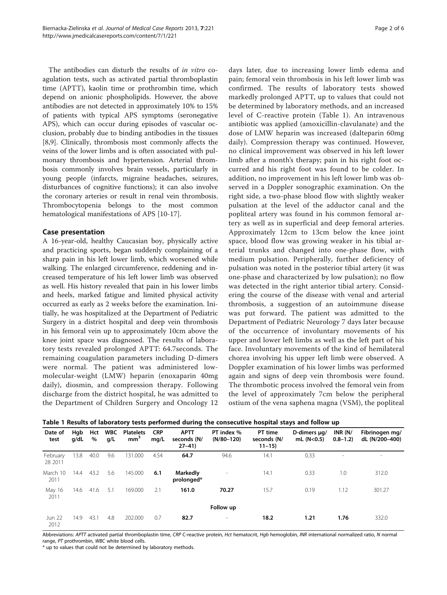The antibodies can disturb the results of *in vitro* coagulation tests, such as activated partial thromboplastin time (APTT), kaolin time or prothrombin time, which depend on anionic phospholipids. However, the above antibodies are not detected in approximately 10% to 15% of patients with typical APS symptoms (seronegative APS), which can occur during episodes of vascular occlusion, probably due to binding antibodies in the tissues [[8,9\]](#page-4-0). Clinically, thrombosis most commonly affects the veins of the lower limbs and is often associated with pulmonary thrombosis and hypertension. Arterial thrombosis commonly involves brain vessels, particularly in young people (infarcts, migraine headaches, seizures, disturbances of cognitive functions); it can also involve the coronary arteries or result in renal vein thrombosis. Thrombocytopenia belongs to the most common hematological manifestations of APS [\[10-](#page-4-0)[17](#page-5-0)].

## Case presentation

A 16-year-old, healthy Caucasian boy, physically active and practicing sports, began suddenly complaining of a sharp pain in his left lower limb, which worsened while walking. The enlarged circumference, reddening and increased temperature of his left lower limb was observed as well. His history revealed that pain in his lower limbs and heels, marked fatigue and limited physical activity occurred as early as 2 weeks before the examination. Initially, he was hospitalized at the Department of Pediatric Surgery in a district hospital and deep vein thrombosis in his femoral vein up to approximately 10cm above the knee joint space was diagnosed. The results of laboratory tests revealed prolonged APTT: 64.7seconds. The remaining coagulation parameters including D-dimers were normal. The patient was administered lowmolecular-weight (LMW) heparin (enoxaparin 40mg daily), diosmin, and compression therapy. Following discharge from the district hospital, he was admitted to the Department of Children Surgery and Oncology 12

days later, due to increasing lower limb edema and pain; femoral vein thrombosis in his left lower limb was confirmed. The results of laboratory tests showed markedly prolonged APTT, up to values that could not be determined by laboratory methods, and an increased level of C-reactive protein (Table 1). An intravenous antibiotic was applied (amoxicillin-clavulanate) and the dose of LMW heparin was increased (dalteparin 60mg daily). Compression therapy was continued. However, no clinical improvement was observed in his left lower limb after a month's therapy; pain in his right foot occurred and his right foot was found to be colder. In addition, no improvement in his left lower limb was observed in a Doppler sonographic examination. On the right side, a two-phase blood flow with slightly weaker pulsation at the level of the adductor canal and the popliteal artery was found in his common femoral artery as well as in superficial and deep femoral arteries. Approximately 12cm to 13cm below the knee joint space, blood flow was growing weaker in his tibial arterial trunks and changed into one-phase flow, with medium pulsation. Peripherally, further deficiency of pulsation was noted in the posterior tibial artery (it was one-phase and characterized by low pulsation); no flow was detected in the right anterior tibial artery. Considering the course of the disease with venal and arterial thrombosis, a suggestion of an autoimmune disease was put forward. The patient was admitted to the Department of Pediatric Neurology 7 days later because of the occurrence of involuntary movements of his upper and lower left limbs as well as the left part of his face. Involuntary movements of the kind of hemilateral chorea involving his upper left limb were observed. A Doppler examination of his lower limbs was performed again and signs of deep vein thrombosis were found. The thrombotic process involved the femoral vein from the level of approximately 7cm below the peripheral ostium of the vena saphena magna (VSM), the popliteal

| Table 1 Results of laboratory tests performed during the consecutive hospital stays and follow up |  |  |
|---------------------------------------------------------------------------------------------------|--|--|
|---------------------------------------------------------------------------------------------------|--|--|

| Date of<br>test       | Hgb<br>g/dL | Hct<br>% | <b>WBC</b><br>g/L | <b>Platelets</b><br>mm <sup>3</sup> | <b>CRP</b><br>mq/L | <b>APTT</b><br>seconds (N/<br>$27 - 41$ | PT index %<br>$(N/80-120)$ | PT time<br>seconds (N/<br>$11 - 15$ | D-dimers ug/<br>mL (N < 0.5) | INR $(N/$<br>$0.8 - 1.2$ | Fibrinogen mg/<br>dL (N/200-400) |
|-----------------------|-------------|----------|-------------------|-------------------------------------|--------------------|-----------------------------------------|----------------------------|-------------------------------------|------------------------------|--------------------------|----------------------------------|
| February<br>28 2011   | 13.8        | 40.0     | 9.6               | 131.000                             | 4.54               | 64.7                                    | 94.6                       | 14.1                                | 0.33                         | $\sim$                   | ٠                                |
| March 10<br>2011      | 14.4        | 43.2     | 5.6               | 145.000                             | 6.1                | Markedly<br>prolonged*                  | $\overline{\phantom{a}}$   | 14.1                                | 0.33                         | 1.0                      | 312.0                            |
| May 16<br>2011        | 14.6        | 41.6     | 5.1               | 169.000                             | 2.1                | 161.0                                   | 70.27                      | 15.7                                | 0.19                         | 1.12                     | 301.27                           |
|                       |             |          |                   |                                     |                    |                                         | Follow up                  |                                     |                              |                          |                                  |
| <b>Jun 22</b><br>2012 | 14.9        | 43.1     | 4.8               | 202.000                             | 0.7                | 82.7                                    | $\overline{\phantom{a}}$   | 18.2                                | 1.21                         | 1.76                     | 332.0                            |

Abbreviations: APTT activated partial thromboplastin time, CRP C-reactive protein, Hct hematocrit, Hgb hemoglobin, INR international normalized ratio, N normal range, PT prothrombin, WBC white blood cells.

\* up to values that could not be determined by laboratory methods.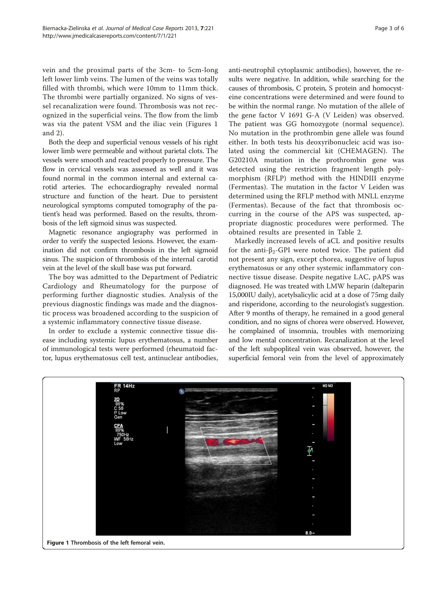vein and the proximal parts of the 3cm- to 5cm-long left lower limb veins. The lumen of the veins was totally filled with thrombi, which were 10mm to 11mm thick. The thrombi were partially organized. No signs of vessel recanalization were found. Thrombosis was not recognized in the superficial veins. The flow from the limb was via the patent VSM and the iliac vein (Figures 1 and [2\)](#page-3-0).

Both the deep and superficial venous vessels of his right lower limb were permeable and without parietal clots. The vessels were smooth and reacted properly to pressure. The flow in cervical vessels was assessed as well and it was found normal in the common internal and external carotid arteries. The echocardiography revealed normal structure and function of the heart. Due to persistent neurological symptoms computed tomography of the patient's head was performed. Based on the results, thrombosis of the left sigmoid sinus was suspected.

Magnetic resonance angiography was performed in order to verify the suspected lesions. However, the examination did not confirm thrombosis in the left sigmoid sinus. The suspicion of thrombosis of the internal carotid vein at the level of the skull base was put forward.

The boy was admitted to the Department of Pediatric Cardiology and Rheumatology for the purpose of performing further diagnostic studies. Analysis of the previous diagnostic findings was made and the diagnostic process was broadened according to the suspicion of a systemic inflammatory connective tissue disease.

In order to exclude a systemic connective tissue disease including systemic lupus erythematosus, a number of immunological tests were performed (rheumatoid factor, lupus erythematosus cell test, antinuclear antibodies,

anti-neutrophil cytoplasmic antibodies), however, the results were negative. In addition, while searching for the causes of thrombosis, C protein, S protein and homocysteine concentrations were determined and were found to be within the normal range. No mutation of the allele of the gene factor V 1691 G-A (V Leiden) was observed. The patient was GG homozygote (normal sequence). No mutation in the prothrombin gene allele was found either. In both tests his deoxyribonucleic acid was isolated using the commercial kit (CHEMAGEN). The G20210A mutation in the prothrombin gene was detected using the restriction fragment length polymorphism (RFLP) method with the HINDIII enzyme (Fermentas). The mutation in the factor V Leiden was determined using the RFLP method with MNLL enzyme (Fermentas). Because of the fact that thrombosis occurring in the course of the APS was suspected, appropriate diagnostic procedures were performed. The obtained results are presented in Table [2.](#page-3-0)

Markedly increased levels of aCL and positive results for the anti- $\beta_2$ -GPI were noted twice. The patient did not present any sign, except chorea, suggestive of lupus erythematosus or any other systemic inflammatory connective tissue disease. Despite negative LAC, pAPS was diagnosed. He was treated with LMW heparin (dalteparin 15,000IU daily), acetylsalicylic acid at a dose of 75mg daily and risperidone, according to the neurologist's suggestion. After 9 months of therapy, he remained in a good general condition, and no signs of chorea were observed. However, he complained of insomnia, troubles with memorizing and low mental concentration. Recanalization at the level of the left subpopliteal vein was observed, however, the superficial femoral vein from the level of approximately

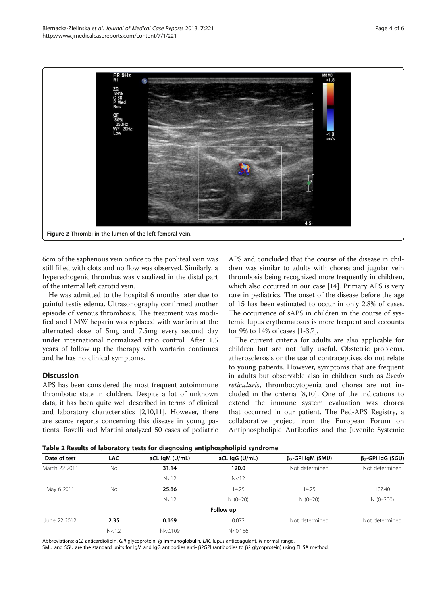<span id="page-3-0"></span>

6cm of the saphenous vein orifice to the popliteal vein was still filled with clots and no flow was observed. Similarly, a hyperechogenic thrombus was visualized in the distal part of the internal left carotid vein.

He was admitted to the hospital 6 months later due to painful testis edema. Ultrasonography confirmed another episode of venous thrombosis. The treatment was modified and LMW heparin was replaced with warfarin at the alternated dose of 5mg and 7.5mg every second day under international normalized ratio control. After 1.5 years of follow up the therapy with warfarin continues and he has no clinical symptoms.

## **Discussion**

APS has been considered the most frequent autoimmune thrombotic state in children. Despite a lot of unknown data, it has been quite well described in terms of clinical and laboratory characteristics [\[2,10,11\]](#page-4-0). However, there are scarce reports concerning this disease in young patients. Ravelli and Martini analyzed 50 cases of pediatric

APS and concluded that the course of the disease in children was similar to adults with chorea and jugular vein thrombosis being recognized more frequently in children, which also occurred in our case [[14](#page-5-0)]. Primary APS is very rare in pediatrics. The onset of the disease before the age of 15 has been estimated to occur in only 2.8% of cases. The occurrence of sAPS in children in the course of systemic lupus erythematosus is more frequent and accounts for 9% to 14% of cases [\[1-3,7](#page-4-0)].

The current criteria for adults are also applicable for children but are not fully useful. Obstetric problems, atherosclerosis or the use of contraceptives do not relate to young patients. However, symptoms that are frequent in adults but observable also in children such as livedo reticularis, thrombocytopenia and chorea are not included in the criteria [[8,10\]](#page-4-0). One of the indications to extend the immune system evaluation was chorea that occurred in our patient. The Ped-APS Registry, a collaborative project from the European Forum on Antiphospholipid Antibodies and the Juvenile Systemic

Table 2 Results of laboratory tests for diagnosing antiphospholipid syndrome

| Date of test  | LAC       | aCL IgM (U/mL) | aCL IgG (U/mL) | $\beta_{2}$ -GPI IgM (SMU) | $\beta_{2}$ -GPI IgG (SGU) |
|---------------|-----------|----------------|----------------|----------------------------|----------------------------|
| March 22 2011 | <b>No</b> | 31.14          | 120.0          | Not determined             | Not determined             |
|               |           | N<12           | N<12           |                            |                            |
| May 6 2011    | No        | 25.86          | 14.25          | 14.25                      | 107.40                     |
|               |           | N<12           | $N(0-20)$      | $N(0-20)$                  | $N(0-200)$                 |
|               |           |                | Follow up      |                            |                            |
| June 22 2012  | 2.35      | 0.169          | 0.072          | Not determined             | Not determined             |
|               | N < 1.2   | N < 0.109      | N < 0.156      |                            |                            |

Abbreviations: aCL anticardiolipin, GPI glycoprotein, Ig immunoglobulin, LAC lupus anticoagulant, N normal range.

SMU and SGU are the standard units for IgM and IgG antibodies anti- β2GPI (antibodies to β2 glycoprotein) using ELISA method.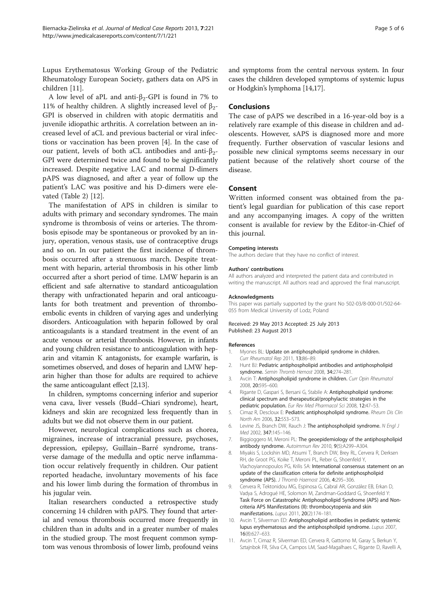<span id="page-4-0"></span>Lupus Erythematosus Working Group of the Pediatric Rheumatology European Society, gathers data on APS in children [11].

A low level of aPL and anti- $\beta_2$ -GPI is found in 7% to 11% of healthy children. A slightly increased level of  $β_2$ -GPI is observed in children with atopic dermatitis and juvenile idiopathic arthritis. A correlation between an increased level of aCL and previous bacterial or viral infections or vaccination has been proven [4]. In the case of our patient, levels of both aCL antibodies and anti-β2- GPI were determined twice and found to be significantly increased. Despite negative LAC and normal D-dimers pAPS was diagnosed, and after a year of follow up the patient's LAC was positive and his D-dimers were elevated (Table [2\)](#page-3-0) [[12\]](#page-5-0).

The manifestation of APS in children is similar to adults with primary and secondary syndromes. The main syndrome is thrombosis of veins or arteries. The thrombosis episode may be spontaneous or provoked by an injury, operation, venous stasis, use of contraceptive drugs and so on. In our patient the first incidence of thrombosis occurred after a strenuous march. Despite treatment with heparin, arterial thrombosis in his other limb occurred after a short period of time. LMW heparin is an efficient and safe alternative to standard anticoagulation therapy with unfractionated heparin and oral anticoagulants for both treatment and prevention of thromboembolic events in children of varying ages and underlying disorders. Anticoagulation with heparin followed by oral anticoagulants is a standard treatment in the event of an acute venous or arterial thrombosis. However, in infants and young children resistance to anticoagulation with heparin and vitamin K antagonists, for example warfarin, is sometimes observed, and doses of heparin and LMW heparin higher than those for adults are required to achieve the same anticoagulant effect [2[,13](#page-5-0)].

In children, symptoms concerning inferior and superior vena cava, liver vessels (Budd–Chiari syndrome), heart, kidneys and skin are recognized less frequently than in adults but we did not observe them in our patient.

However, neurological complications such as chorea, migraines, increase of intracranial pressure, psychoses, depression, epilepsy, Guillain–Barré syndrome, transverse damage of the medulla and optic nerve inflammation occur relatively frequently in children. Our patient reported headache, involuntary movements of his face and his lower limb during the formation of thrombus in his jugular vein.

Italian researchers conducted a retrospective study concerning 14 children with pAPS. They found that arterial and venous thrombosis occurred more frequently in children than in adults and in a greater number of males in the studied group. The most frequent common symptom was venous thrombosis of lower limb, profound veins and symptoms from the central nervous system. In four cases the children developed symptoms of systemic lupus or Hodgkin's lymphoma [[14,17\]](#page-5-0).

## Conclusions

The case of pAPS we described in a 16-year-old boy is a relatively rare example of this disease in children and adolescents. However, sAPS is diagnosed more and more frequently. Further observation of vascular lesions and possible new clinical symptoms seems necessary in our patient because of the relatively short course of the disease.

## Consent

Written informed consent was obtained from the patient's legal guardian for publication of this case report and any accompanying images. A copy of the written consent is available for review by the Editor-in-Chief of this journal.

#### Competing interests

The authors declare that they have no conflict of interest.

## Authors' contributions

All authors analyzed and interpreted the patient data and contributed in writing the manuscript. All authors read and approved the final manuscript.

#### Acknowledgments

This paper was partially supported by the grant No 502-03/8-000-01/502-64- 055 from Medical University of Lodz, Poland

#### Received: 29 May 2013 Accepted: 25 July 2013 Published: 23 August 2013

#### References

- 1. Myones BL: Update on antiphospholipid syndrome in children. Curr Rheumatol Rep 2011, 13:86–89.
- 2. Hunt BJ: Pediatric antiphospholipid antibodies and antiphospholipid syndrome. Semin Thromb Hemost 2008, 34:274–281.
- 3. Avcin T: Antiphospholipid syndrome in children. Curr Opin Rheumatol 2008, 20:595–600.
- 4. Rigante D, Gaspari S, Bersani G, Stabile A: Antiphospholipid syndrome: clinical spectrum and therapeutical/prophylactic strategies in the pediatric population. Eur Rev Med Pharmacol Sci 2008, 12:47-53.
- 5. Cimaz R, Descloux E: Pediatric antiphospholipid syndrome. Rheum Dis Clin North Am 2006, 32:553–573.
- 6. Levine JS, Branch DW, Rauch J: The antiphospholipid syndrome. N Engl J Med 2002, 347:145–146.
- 7. Biggioggero M, Meroni PL: The geoepidemiology of the antiphospholipid antibody syndrome. Autoimmun Rev 2010, 9(5):A299–A304.
- 8. Miyakis S, Lockshin MD, Atsumi T, Branch DW, Brey RL, Cervera R, Derksen RH, de Groot PG, Koike T, Meroni PL, Reber G, Shoenfeld Y, Vlachoyiannopoulos PG, Krilis SA: International consensus statement on an update of the classification criteria for definite antiphospholipid syndrome (APS). J Thromb Haemost 2006, 4:295-306.
- 9. Cervera R, Tektonidou MG, Espinosa G, Cabral AR, González EB, Erkan D, Vadya S, Adrogué HE, Solomon M, Zandman-Goddard G, Shoenfeld Y: Task Force on Catastrophic Antiphospholipid Syndrome (APS) and Noncriteria APS Manifestations (II): thrombocytopenia and skin manifestations. Lupus 2011, 20(2):174–181.
- 10. Avcin T, Silverman ED: Antiphospholipid antibodies in pediatric systemic lupus erythematosus and the antiphospholipid syndrome. Lupus 2007, 16(8):627–633.
- 11. Avcin T, Cimaz R, Silverman ED, Cervera R, Gattorno M, Garay S, Berkun Y, Sztajnbok FR, Silva CA, Campos LM, Saad-Magalhaes C, Rigante D, Ravelli A,